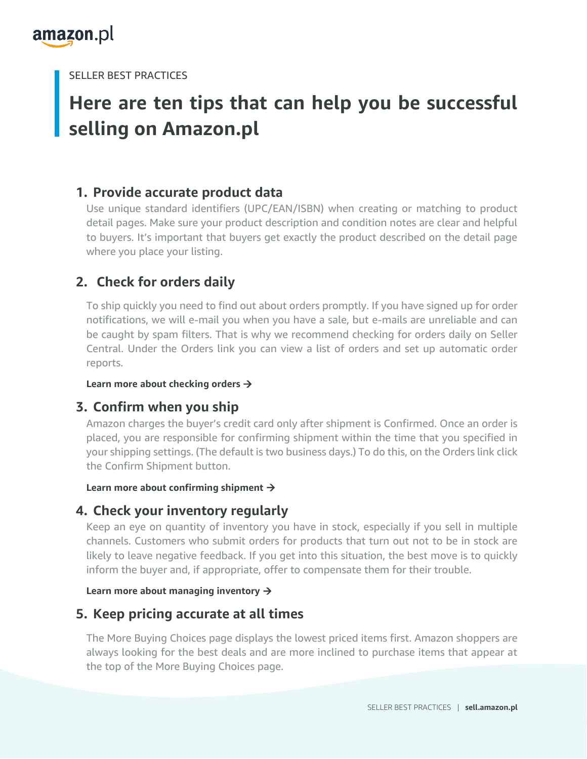

#### SELLER BEST PRACTICES

# **Here are ten tips that can help you be successful selling on Amazon.pl**

## **1. Provide accurate product data**

Use unique standard identifiers (UPC/EAN/ISBN) when creating or matching to product detail pages. Make sure your product description and condition notes are clear and helpful to buyers. It's important that buyers get exactly the product described on the detail page where you place your listing.

# **2. Check for orders daily**

To ship quickly you need to find out about orders promptly. If you have signed up for order notifications, we will e-mail you when you have a sale, but e-mails are unreliable and can be caught by spam filters. That is why we recommend checking for orders daily on Seller Central. Under the Orders link you can view a list of orders and set up automatic order reports.

**[Learn more about checking orders](https://sellercentral.amazon.pl/gp/help/external/help-page.html?itemID=200198170%20)** →

## **3. Confirm when you ship**

Amazon charges the buyer's credit card only after shipment is Confirmed. Once an order is placed, you are responsible for confirming shipment within the time that you specified in your shipping settings. (The default is two business days.) To do this, on the Orders link click the Confirm Shipment button.

#### **[Learn more about confirming shipment](https://sellercentral.amazon.pl/gp/help/external/help-page.html?itemID=200197960)** →

## **4. Check your inventory regularly**

Keep an eye on quantity of inventory you have in stock, especially if you sell in multiple channels. Customers who submit orders for products that turn out not to be in stock are likely to leave negative feedback. If you get into this situation, the best move is to quickly inform the buyer and, if appropriate, offer to compensate them for their trouble.

#### **[Learn more about managing inventory](https://sellercentral.amazon.pl/gp/help/external/help-page.html?itemID=551)** →

## **5. Keep pricing accurate at all times**

The More Buying Choices page displays the lowest priced items first. Amazon shoppers are always looking for the best deals and are more inclined to purchase items that appear at the top of the More Buying Choices page.